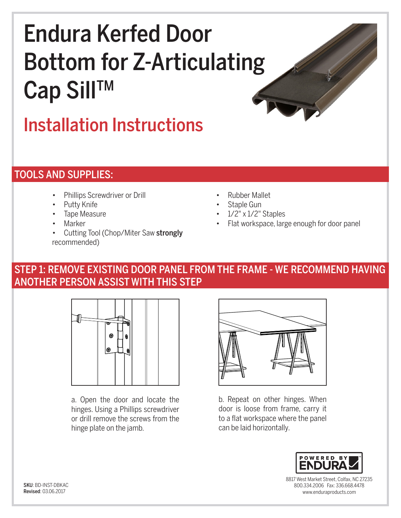# Endura Kerfed Door Bottom for Z-Articulating Cap Sill™

# Installation Instructions

## TOOLS AND SUPPLIES:

- Phillips Screwdriver or Drill
- Putty Knife
- Tape Measure
- **Marker**
- Cutting Tool (Chop/Miter Saw strongly recommended)
- Rubber Mallet
- Staple Gun
- 1/2" x 1/2" Staples
- Flat workspace, large enough for door panel

#### STEP 1: REMOVE EXISTING DOOR PANEL FROM THE FRAME - WE RECOMMEND HAVING ANOTHER PERSON ASSIST WITH THIS STEP



a. Open the door and locate the hinges. Using a Phillips screwdriver or drill remove the screws from the hinge plate on the jamb.



b. Repeat on other hinges. When door is loose from frame, carry it to a flat workspace where the panel can be laid horizontally.



8817 West Market Street, Colfax, NC 27235 800.334.2006 Fax: 336.668.4478 www.enduraproducts.com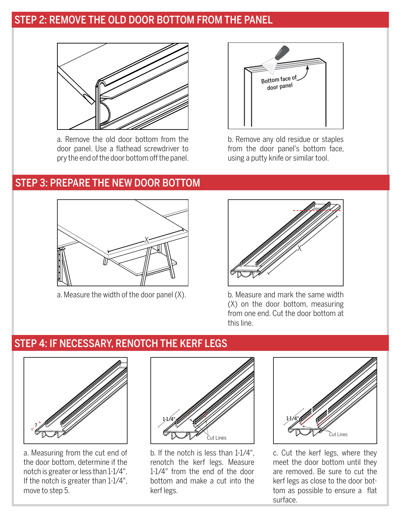#### STEP 2: REMOVE THE OLD DOOR BOTTOM FROM THE PANEL



a. Remove the old door bottom from the door panel. Use a flathead screwdriver to pry the end of the door bottom off the panel.



b. Remove any old residue or staples from the door panel's bottom face, using a putty knife or similar tool.

#### STEP 3: PREPARE THE NEW DOOR BOTTOM



a. Measure the width of the door panel  $(X)$ . b. Measure and mark the same width



(X) on the door bottom, measuring from one end. Cut the door bottom at this line.

### STEP 4: IF NECESSARY, RENOTCH THE KERF LEGS



a. Measuring from the cut end of the door bottom, determine if the notch is greater or less than 1-1/4". If the notch is greater than 1-1/4", move to step 5.



b. If the notch is less than 1-1/4", renotch the kerf legs. Measure 1-1/4" from the end of the door bottom and make a cut into the kerf legs.



c. Cut the kerf legs, where they meet the door bottom until they are removed. Be sure to cut the kerf legs as close to the door bottom as possible to ensure a flat surface.